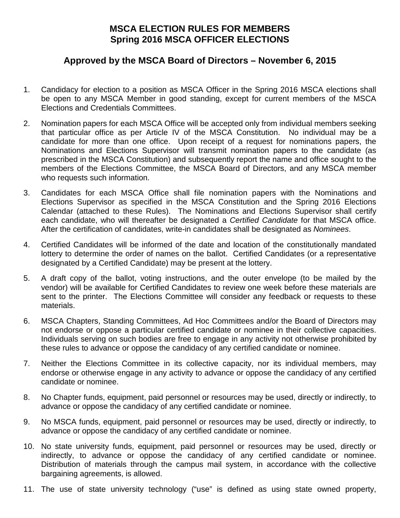## **MSCA ELECTION RULES FOR MEMBERS Spring 2016 MSCA OFFICER ELECTIONS**

## **Approved by the MSCA Board of Directors – November 6, 2015**

- 1. Candidacy for election to a position as MSCA Officer in the Spring 2016 MSCA elections shall be open to any MSCA Member in good standing, except for current members of the MSCA Elections and Credentials Committees.
- 2. Nomination papers for each MSCA Office will be accepted only from individual members seeking that particular office as per Article IV of the MSCA Constitution. No individual may be a candidate for more than one office. Upon receipt of a request for nominations papers, the Nominations and Elections Supervisor will transmit nomination papers to the candidate (as prescribed in the MSCA Constitution) and subsequently report the name and office sought to the members of the Elections Committee, the MSCA Board of Directors, and any MSCA member who requests such information.
- 3. Candidates for each MSCA Office shall file nomination papers with the Nominations and Elections Supervisor as specified in the MSCA Constitution and the Spring 2016 Elections Calendar (attached to these Rules). The Nominations and Elections Supervisor shall certify each candidate, who will thereafter be designated a *Certified Candidate* for that MSCA office. After the certification of candidates, write-in candidates shall be designated as *Nominees*.
- 4. Certified Candidates will be informed of the date and location of the constitutionally mandated lottery to determine the order of names on the ballot. Certified Candidates (or a representative designated by a Certified Candidate) may be present at the lottery.
- 5. A draft copy of the ballot, voting instructions, and the outer envelope (to be mailed by the vendor) will be available for Certified Candidates to review one week before these materials are sent to the printer. The Elections Committee will consider any feedback or requests to these materials.
- 6. MSCA Chapters, Standing Committees, Ad Hoc Committees and/or the Board of Directors may not endorse or oppose a particular certified candidate or nominee in their collective capacities. Individuals serving on such bodies are free to engage in any activity not otherwise prohibited by these rules to advance or oppose the candidacy of any certified candidate or nominee.
- 7. Neither the Elections Committee in its collective capacity, nor its individual members, may endorse or otherwise engage in any activity to advance or oppose the candidacy of any certified candidate or nominee.
- 8. No Chapter funds, equipment, paid personnel or resources may be used, directly or indirectly, to advance or oppose the candidacy of any certified candidate or nominee.
- 9. No MSCA funds, equipment, paid personnel or resources may be used, directly or indirectly, to advance or oppose the candidacy of any certified candidate or nominee.
- 10. No state university funds, equipment, paid personnel or resources may be used, directly or indirectly, to advance or oppose the candidacy of any certified candidate or nominee. Distribution of materials through the campus mail system, in accordance with the collective bargaining agreements, is allowed.
- 11. The use of state university technology ("use" is defined as using state owned property,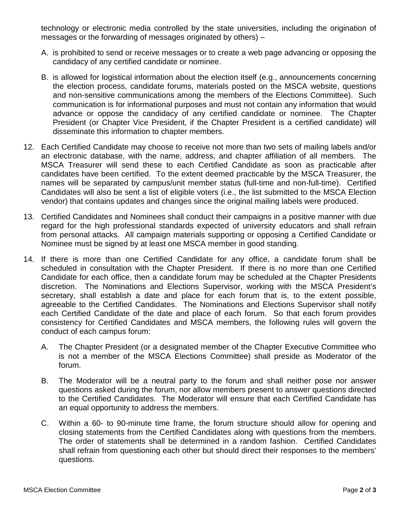technology or electronic media controlled by the state universities, including the origination of messages or the forwarding of messages originated by others) –

- A. is prohibited to send or receive messages or to create a web page advancing or opposing the candidacy of any certified candidate or nominee.
- B. is allowed for logistical information about the election itself (e.g., announcements concerning the election process, candidate forums, materials posted on the MSCA website, questions and non-sensitive communications among the members of the Elections Committee). Such communication is for informational purposes and must not contain any information that would advance or oppose the candidacy of any certified candidate or nominee. The Chapter President (or Chapter Vice President, if the Chapter President is a certified candidate) will disseminate this information to chapter members.
- 12. Each Certified Candidate may choose to receive not more than two sets of mailing labels and/or an electronic database, with the name, address, and chapter affiliation of all members. The MSCA Treasurer will send these to each Certified Candidate as soon as practicable after candidates have been certified. To the extent deemed practicable by the MSCA Treasurer, the names will be separated by campus/unit member status (full-time and non-full-time). Certified Candidates will also be sent a list of eligible voters (i.e., the list submitted to the MSCA Election vendor) that contains updates and changes since the original mailing labels were produced.
- 13. Certified Candidates and Nominees shall conduct their campaigns in a positive manner with due regard for the high professional standards expected of university educators and shall refrain from personal attacks. All campaign materials supporting or opposing a Certified Candidate or Nominee must be signed by at least one MSCA member in good standing.
- 14. If there is more than one Certified Candidate for any office, a candidate forum shall be scheduled in consultation with the Chapter President. If there is no more than one Certified Candidate for each office, then a candidate forum may be scheduled at the Chapter Presidents discretion. The Nominations and Elections Supervisor, working with the MSCA President's secretary, shall establish a date and place for each forum that is, to the extent possible, agreeable to the Certified Candidates. The Nominations and Elections Supervisor shall notify each Certified Candidate of the date and place of each forum. So that each forum provides consistency for Certified Candidates and MSCA members, the following rules will govern the conduct of each campus forum:
	- A. The Chapter President (or a designated member of the Chapter Executive Committee who is not a member of the MSCA Elections Committee) shall preside as Moderator of the forum.
	- B. The Moderator will be a neutral party to the forum and shall neither pose nor answer questions asked during the forum, nor allow members present to answer questions directed to the Certified Candidates. The Moderator will ensure that each Certified Candidate has an equal opportunity to address the members.
	- C. Within a 60- to 90-minute time frame, the forum structure should allow for opening and closing statements from the Certified Candidates along with questions from the members. The order of statements shall be determined in a random fashion. Certified Candidates shall refrain from questioning each other but should direct their responses to the members' questions.